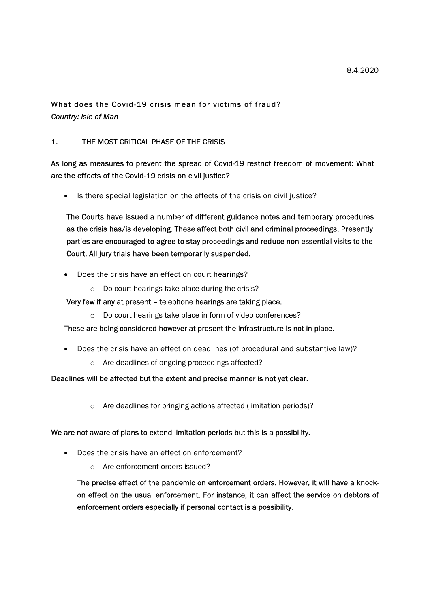# What does the Covid-19 crisis mean for victims of fraud? Country: Isle of Man

# 1. THE MOST CRITICAL PHASE OF THE CRISIS

# As long as measures to prevent the spread of Covid-19 restrict freedom of movement: What are the effects of the Covid-19 crisis on civil justice?

• Is there special legislation on the effects of the crisis on civil justice?

The Courts have issued a number of different guidance notes and temporary procedures as the crisis has/is developing. These affect both civil and criminal proceedings. Presently parties are encouraged to agree to stay proceedings and reduce non-essential visits to the Court. All jury trials have been temporarily suspended.

- Does the crisis have an effect on court hearings?
	- o Do court hearings take place during the crisis?

## Very few if any at present – telephone hearings are taking place.

o Do court hearings take place in form of video conferences?

These are being considered however at present the infrastructure is not in place.

- Does the crisis have an effect on deadlines (of procedural and substantive law)?
	- o Are deadlines of ongoing proceedings affected?

## Deadlines will be affected but the extent and precise manner is not yet clear.

o Are deadlines for bringing actions affected (limitation periods)?

## We are not aware of plans to extend limitation periods but this is a possibility.

- Does the crisis have an effect on enforcement?
	- o Are enforcement orders issued?

The precise effect of the pandemic on enforcement orders. However, it will have a knockon effect on the usual enforcement. For instance, it can affect the service on debtors of enforcement orders especially if personal contact is a possibility.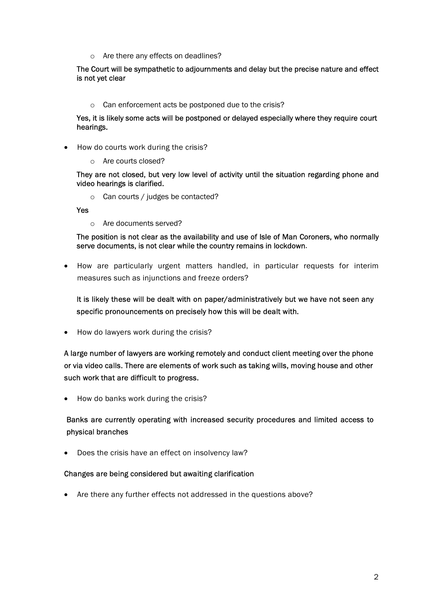o Are there any effects on deadlines?

The Court will be sympathetic to adjournments and delay but the precise nature and effect is not yet clear

o Can enforcement acts be postponed due to the crisis?

Yes, it is likely some acts will be postponed or delayed especially where they require court hearings.

- How do courts work during the crisis?
	- o Are courts closed?

They are not closed, but very low level of activity until the situation regarding phone and video hearings is clarified.

o Can courts / judges be contacted?

Yes

o Are documents served?

The position is not clear as the availability and use of Isle of Man Coroners, who normally serve documents, is not clear while the country remains in lockdown.

 How are particularly urgent matters handled, in particular requests for interim measures such as injunctions and freeze orders?

It is likely these will be dealt with on paper/administratively but we have not seen any specific pronouncements on precisely how this will be dealt with.

• How do lawyers work during the crisis?

A large number of lawyers are working remotely and conduct client meeting over the phone or via video calls. There are elements of work such as taking wills, moving house and other such work that are difficult to progress.

• How do banks work during the crisis?

Banks are currently operating with increased security procedures and limited access to physical branches

• Does the crisis have an effect on insolvency law?

#### Changes are being considered but awaiting clarification

• Are there any further effects not addressed in the questions above?